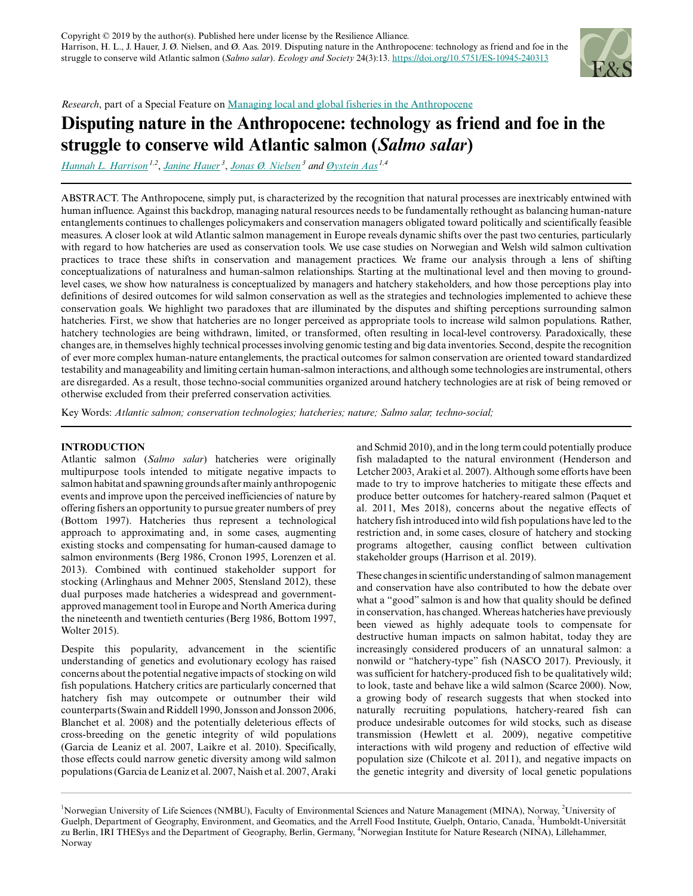

*Research*, part of a Special Feature on [Managing local and global fisheries in the Anthropocene](https://www.ecologyandsociety.org/viewissue.php?sf=137)

# **Disputing nature in the Anthropocene: technology as friend and foe in the struggle to conserve wild Atlantic salmon (***Salmo salar***)**

*[Hannah L. Harrison](mailto:hharrison.green@gmail.com) 1,2* , *[Janine Hauer](mailto:janine.hauer@hu-berlin.de)<sup>3</sup>* , *[Jonas Ø. Nielsen](mailto:jonas.ostergaard.nielsen@hu-berlin.de)<sup>3</sup> and [Øystein Aas](mailto:oystein.aas@nina.no) 1,4*

ABSTRACT. The Anthropocene, simply put, is characterized by the recognition that natural processes are inextricably entwined with human influence. Against this backdrop, managing natural resources needs to be fundamentally rethought as balancing human-nature entanglements continues to challenges policymakers and conservation managers obligated toward politically and scientifically feasible measures. A closer look at wild Atlantic salmon management in Europe reveals dynamic shifts over the past two centuries, particularly with regard to how hatcheries are used as conservation tools. We use case studies on Norwegian and Welsh wild salmon cultivation practices to trace these shifts in conservation and management practices. We frame our analysis through a lens of shifting conceptualizations of naturalness and human-salmon relationships. Starting at the multinational level and then moving to groundlevel cases, we show how naturalness is conceptualized by managers and hatchery stakeholders, and how those perceptions play into definitions of desired outcomes for wild salmon conservation as well as the strategies and technologies implemented to achieve these conservation goals. We highlight two paradoxes that are illuminated by the disputes and shifting perceptions surrounding salmon hatcheries. First, we show that hatcheries are no longer perceived as appropriate tools to increase wild salmon populations. Rather, hatchery technologies are being withdrawn, limited, or transformed, often resulting in local-level controversy. Paradoxically, these changes are, in themselves highly technical processes involving genomic testing and big data inventories. Second, despite the recognition of ever more complex human-nature entanglements, the practical outcomes for salmon conservation are oriented toward standardized testability and manageability and limiting certain human-salmon interactions, and although some technologies are instrumental, others are disregarded. As a result, those techno-social communities organized around hatchery technologies are at risk of being removed or otherwise excluded from their preferred conservation activities.

Key Words: *Atlantic salmon; conservation technologies; hatcheries; nature; Salmo salar; techno-social;*

# **INTRODUCTION**

Atlantic salmon (*Salmo salar*) hatcheries were originally multipurpose tools intended to mitigate negative impacts to salmon habitat and spawning grounds after mainly anthropogenic events and improve upon the perceived inefficiencies of nature by offering fishers an opportunity to pursue greater numbers of prey (Bottom 1997). Hatcheries thus represent a technological approach to approximating and, in some cases, augmenting existing stocks and compensating for human-caused damage to salmon environments (Berg 1986, Cronon 1995, Lorenzen et al. 2013). Combined with continued stakeholder support for stocking (Arlinghaus and Mehner 2005, Stensland 2012), these dual purposes made hatcheries a widespread and governmentapproved management tool in Europe and North America during the nineteenth and twentieth centuries (Berg 1986, Bottom 1997, Wolter 2015).

Despite this popularity, advancement in the scientific understanding of genetics and evolutionary ecology has raised concerns about the potential negative impacts of stocking on wild fish populations. Hatchery critics are particularly concerned that hatchery fish may outcompete or outnumber their wild counterparts (Swain and Riddell 1990, Jonsson and Jonsson 2006, Blanchet et al. 2008) and the potentially deleterious effects of cross-breeding on the genetic integrity of wild populations (Garcia de Leaniz et al. 2007, Laikre et al. 2010). Specifically, those effects could narrow genetic diversity among wild salmon populations (Garcia de Leaniz et al. 2007, Naish et al. 2007, Araki

and Schmid 2010), and in the long term could potentially produce fish maladapted to the natural environment (Henderson and Letcher 2003, Araki et al. 2007). Although some efforts have been made to try to improve hatcheries to mitigate these effects and produce better outcomes for hatchery-reared salmon (Paquet et al. 2011, Mes 2018), concerns about the negative effects of hatchery fish introduced into wild fish populations have led to the restriction and, in some cases, closure of hatchery and stocking programs altogether, causing conflict between cultivation stakeholder groups (Harrison et al. 2019).

These changes in scientific understanding of salmon management and conservation have also contributed to how the debate over what a "good" salmon is and how that quality should be defined in conservation, has changed. Whereas hatcheries have previously been viewed as highly adequate tools to compensate for destructive human impacts on salmon habitat, today they are increasingly considered producers of an unnatural salmon: a nonwild or "hatchery-type" fish (NASCO 2017). Previously, it was sufficient for hatchery-produced fish to be qualitatively wild; to look, taste and behave like a wild salmon (Scarce 2000). Now, a growing body of research suggests that when stocked into naturally recruiting populations, hatchery-reared fish can produce undesirable outcomes for wild stocks, such as disease transmission (Hewlett et al. 2009), negative competitive interactions with wild progeny and reduction of effective wild population size (Chilcote et al. 2011), and negative impacts on the genetic integrity and diversity of local genetic populations

<sup>&</sup>lt;sup>1</sup>Norwegian University of Life Sciences (NMBU), Faculty of Environmental Sciences and Nature Management (MINA), Norway, <sup>2</sup>University of Guelph, Department of Geography, Environment, and Geomatics, and the Arrell Food Institute, Guelph, Ontario, Canada, <sup>3</sup>Humboldt-Universität zu Berlin, IRI THESys and the Department of Geography, Berlin, Germany, <sup>4</sup>Norwegian Institute for Nature Research (NINA), Lillehammer, Norway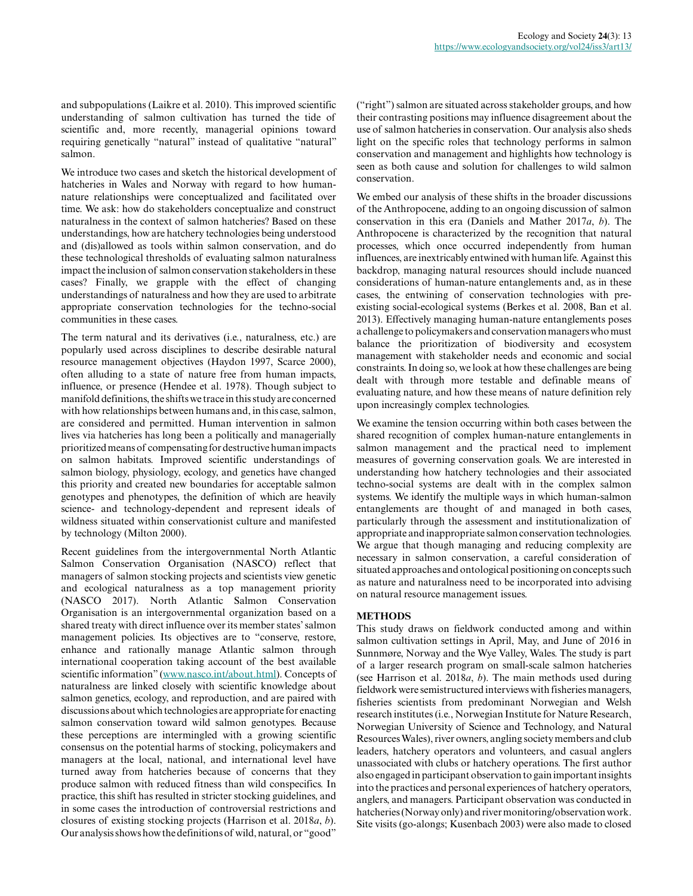and subpopulations (Laikre et al. 2010). This improved scientific understanding of salmon cultivation has turned the tide of scientific and, more recently, managerial opinions toward requiring genetically "natural" instead of qualitative "natural" salmon.

We introduce two cases and sketch the historical development of hatcheries in Wales and Norway with regard to how humannature relationships were conceptualized and facilitated over time. We ask: how do stakeholders conceptualize and construct naturalness in the context of salmon hatcheries? Based on these understandings, how are hatchery technologies being understood and (dis)allowed as tools within salmon conservation, and do these technological thresholds of evaluating salmon naturalness impact the inclusion of salmon conservation stakeholders in these cases? Finally, we grapple with the effect of changing understandings of naturalness and how they are used to arbitrate appropriate conservation technologies for the techno-social communities in these cases.

The term natural and its derivatives (i.e., naturalness, etc.) are popularly used across disciplines to describe desirable natural resource management objectives (Haydon 1997, Scarce 2000), often alluding to a state of nature free from human impacts, influence, or presence (Hendee et al. 1978). Though subject to manifold definitions, the shifts we trace in this study are concerned with how relationships between humans and, in this case, salmon, are considered and permitted. Human intervention in salmon lives via hatcheries has long been a politically and managerially prioritized means of compensating for destructive human impacts on salmon habitats. Improved scientific understandings of salmon biology, physiology, ecology, and genetics have changed this priority and created new boundaries for acceptable salmon genotypes and phenotypes, the definition of which are heavily science- and technology-dependent and represent ideals of wildness situated within conservationist culture and manifested by technology (Milton 2000).

Recent guidelines from the intergovernmental North Atlantic Salmon Conservation Organisation (NASCO) reflect that managers of salmon stocking projects and scientists view genetic and ecological naturalness as a top management priority (NASCO 2017). North Atlantic Salmon Conservation Organisation is an intergovernmental organization based on a shared treaty with direct influence over its member states' salmon management policies. Its objectives are to "conserve, restore, enhance and rationally manage Atlantic salmon through international cooperation taking account of the best available scientific information" [\(www.nasco.int/about.html](www.nasco.int/about.html)). Concepts of naturalness are linked closely with scientific knowledge about salmon genetics, ecology, and reproduction, and are paired with discussions about which technologies are appropriate for enacting salmon conservation toward wild salmon genotypes. Because these perceptions are intermingled with a growing scientific consensus on the potential harms of stocking, policymakers and managers at the local, national, and international level have turned away from hatcheries because of concerns that they produce salmon with reduced fitness than wild conspecifics. In practice, this shift has resulted in stricter stocking guidelines, and in some cases the introduction of controversial restrictions and closures of existing stocking projects (Harrison et al. 2018*a*, *b*). Our analysis shows how the definitions of wild, natural, or "good"

("right") salmon are situated across stakeholder groups, and how their contrasting positions may influence disagreement about the use of salmon hatcheries in conservation. Our analysis also sheds light on the specific roles that technology performs in salmon conservation and management and highlights how technology is seen as both cause and solution for challenges to wild salmon conservation.

We embed our analysis of these shifts in the broader discussions of the Anthropocene, adding to an ongoing discussion of salmon conservation in this era (Daniels and Mather 2017*a*, *b*). The Anthropocene is characterized by the recognition that natural processes, which once occurred independently from human influences, are inextricably entwined with human life. Against this backdrop, managing natural resources should include nuanced considerations of human-nature entanglements and, as in these cases, the entwining of conservation technologies with preexisting social-ecological systems (Berkes et al. 2008, Ban et al. 2013). Effectively managing human-nature entanglements poses a challenge to policymakers and conservation managers who must balance the prioritization of biodiversity and ecosystem management with stakeholder needs and economic and social constraints. In doing so, we look at how these challenges are being dealt with through more testable and definable means of evaluating nature, and how these means of nature definition rely upon increasingly complex technologies.

We examine the tension occurring within both cases between the shared recognition of complex human-nature entanglements in salmon management and the practical need to implement measures of governing conservation goals. We are interested in understanding how hatchery technologies and their associated techno-social systems are dealt with in the complex salmon systems. We identify the multiple ways in which human-salmon entanglements are thought of and managed in both cases, particularly through the assessment and institutionalization of appropriate and inappropriate salmon conservation technologies. We argue that though managing and reducing complexity are necessary in salmon conservation, a careful consideration of situated approaches and ontological positioning on concepts such as nature and naturalness need to be incorporated into advising on natural resource management issues.

# **METHODS**

This study draws on fieldwork conducted among and within salmon cultivation settings in April, May, and June of 2016 in Sunnmøre, Norway and the Wye Valley, Wales. The study is part of a larger research program on small-scale salmon hatcheries (see Harrison et al. 2018*a*, *b*). The main methods used during fieldwork were semistructured interviews with fisheries managers, fisheries scientists from predominant Norwegian and Welsh research institutes (i.e., Norwegian Institute for Nature Research, Norwegian University of Science and Technology, and Natural Resources Wales), river owners, angling society members and club leaders, hatchery operators and volunteers, and casual anglers unassociated with clubs or hatchery operations. The first author also engaged in participant observation to gain important insights into the practices and personal experiences of hatchery operators, anglers, and managers. Participant observation was conducted in hatcheries (Norway only) and river monitoring/observation work. Site visits (go-alongs; Kusenbach 2003) were also made to closed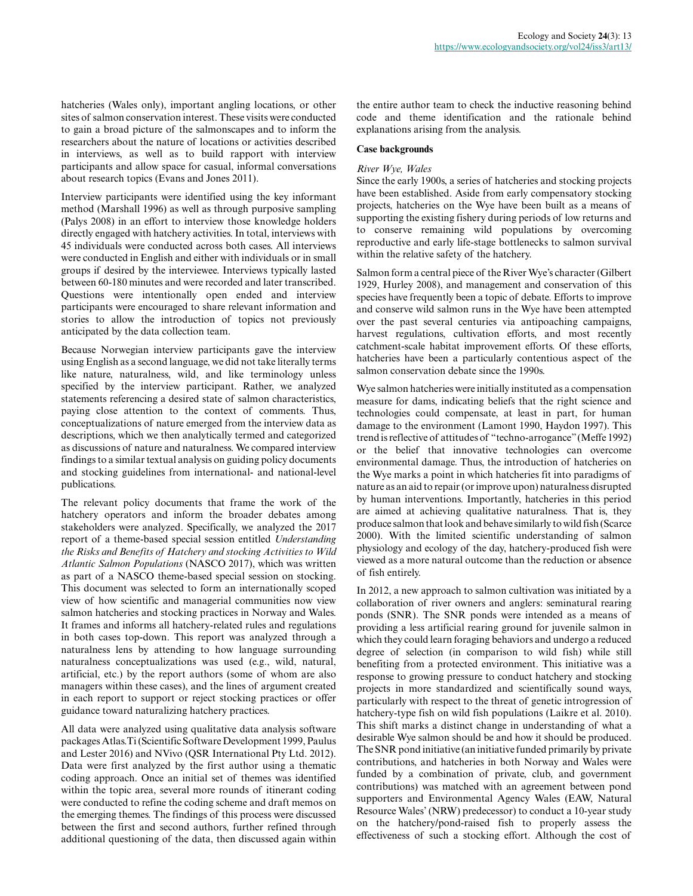hatcheries (Wales only), important angling locations, or other sites of salmon conservation interest. These visits were conducted to gain a broad picture of the salmonscapes and to inform the researchers about the nature of locations or activities described in interviews, as well as to build rapport with interview participants and allow space for casual, informal conversations about research topics (Evans and Jones 2011).

Interview participants were identified using the key informant method (Marshall 1996) as well as through purposive sampling (Palys 2008) in an effort to interview those knowledge holders directly engaged with hatchery activities. In total, interviews with 45 individuals were conducted across both cases. All interviews were conducted in English and either with individuals or in small groups if desired by the interviewee. Interviews typically lasted between 60-180 minutes and were recorded and later transcribed. Questions were intentionally open ended and interview participants were encouraged to share relevant information and stories to allow the introduction of topics not previously anticipated by the data collection team.

Because Norwegian interview participants gave the interview using English as a second language, we did not take literally terms like nature, naturalness, wild, and like terminology unless specified by the interview participant. Rather, we analyzed statements referencing a desired state of salmon characteristics, paying close attention to the context of comments. Thus, conceptualizations of nature emerged from the interview data as descriptions, which we then analytically termed and categorized as discussions of nature and naturalness. We compared interview findings to a similar textual analysis on guiding policy documents and stocking guidelines from international- and national-level publications.

The relevant policy documents that frame the work of the hatchery operators and inform the broader debates among stakeholders were analyzed. Specifically, we analyzed the 2017 report of a theme-based special session entitled *Understanding the Risks and Benefits of Hatchery and stocking Activities to Wild Atlantic Salmon Populations* (NASCO 2017), which was written as part of a NASCO theme-based special session on stocking. This document was selected to form an internationally scoped view of how scientific and managerial communities now view salmon hatcheries and stocking practices in Norway and Wales. It frames and informs all hatchery-related rules and regulations in both cases top-down. This report was analyzed through a naturalness lens by attending to how language surrounding naturalness conceptualizations was used (e.g., wild, natural, artificial, etc.) by the report authors (some of whom are also managers within these cases), and the lines of argument created in each report to support or reject stocking practices or offer guidance toward naturalizing hatchery practices.

All data were analyzed using qualitative data analysis software packages Atlas.Ti (Scientific Software Development 1999, Paulus and Lester 2016) and NVivo (QSR International Pty Ltd. 2012). Data were first analyzed by the first author using a thematic coding approach. Once an initial set of themes was identified within the topic area, several more rounds of itinerant coding were conducted to refine the coding scheme and draft memos on the emerging themes. The findings of this process were discussed between the first and second authors, further refined through additional questioning of the data, then discussed again within the entire author team to check the inductive reasoning behind code and theme identification and the rationale behind explanations arising from the analysis.

# **Case backgrounds**

## *River Wye, Wales*

Since the early 1900s, a series of hatcheries and stocking projects have been established. Aside from early compensatory stocking projects, hatcheries on the Wye have been built as a means of supporting the existing fishery during periods of low returns and to conserve remaining wild populations by overcoming reproductive and early life-stage bottlenecks to salmon survival within the relative safety of the hatchery.

Salmon form a central piece of the River Wye's character (Gilbert 1929, Hurley 2008), and management and conservation of this species have frequently been a topic of debate. Efforts to improve and conserve wild salmon runs in the Wye have been attempted over the past several centuries via antipoaching campaigns, harvest regulations, cultivation efforts, and most recently catchment-scale habitat improvement efforts. Of these efforts, hatcheries have been a particularly contentious aspect of the salmon conservation debate since the 1990s.

Wye salmon hatcheries were initially instituted as a compensation measure for dams, indicating beliefs that the right science and technologies could compensate, at least in part, for human damage to the environment (Lamont 1990, Haydon 1997). This trend is reflective of attitudes of "techno-arrogance" (Meffe 1992) or the belief that innovative technologies can overcome environmental damage. Thus, the introduction of hatcheries on the Wye marks a point in which hatcheries fit into paradigms of nature as an aid to repair (or improve upon) naturalness disrupted by human interventions. Importantly, hatcheries in this period are aimed at achieving qualitative naturalness. That is, they produce salmon that look and behave similarly to wild fish (Scarce 2000). With the limited scientific understanding of salmon physiology and ecology of the day, hatchery-produced fish were viewed as a more natural outcome than the reduction or absence of fish entirely.

In 2012, a new approach to salmon cultivation was initiated by a collaboration of river owners and anglers: seminatural rearing ponds (SNR). The SNR ponds were intended as a means of providing a less artificial rearing ground for juvenile salmon in which they could learn foraging behaviors and undergo a reduced degree of selection (in comparison to wild fish) while still benefiting from a protected environment. This initiative was a response to growing pressure to conduct hatchery and stocking projects in more standardized and scientifically sound ways, particularly with respect to the threat of genetic introgression of hatchery-type fish on wild fish populations (Laikre et al. 2010). This shift marks a distinct change in understanding of what a desirable Wye salmon should be and how it should be produced. The SNR pond initiative (an initiative funded primarily by private contributions, and hatcheries in both Norway and Wales were funded by a combination of private, club, and government contributions) was matched with an agreement between pond supporters and Environmental Agency Wales (EAW, Natural Resource Wales' (NRW) predecessor) to conduct a 10-year study on the hatchery/pond-raised fish to properly assess the effectiveness of such a stocking effort. Although the cost of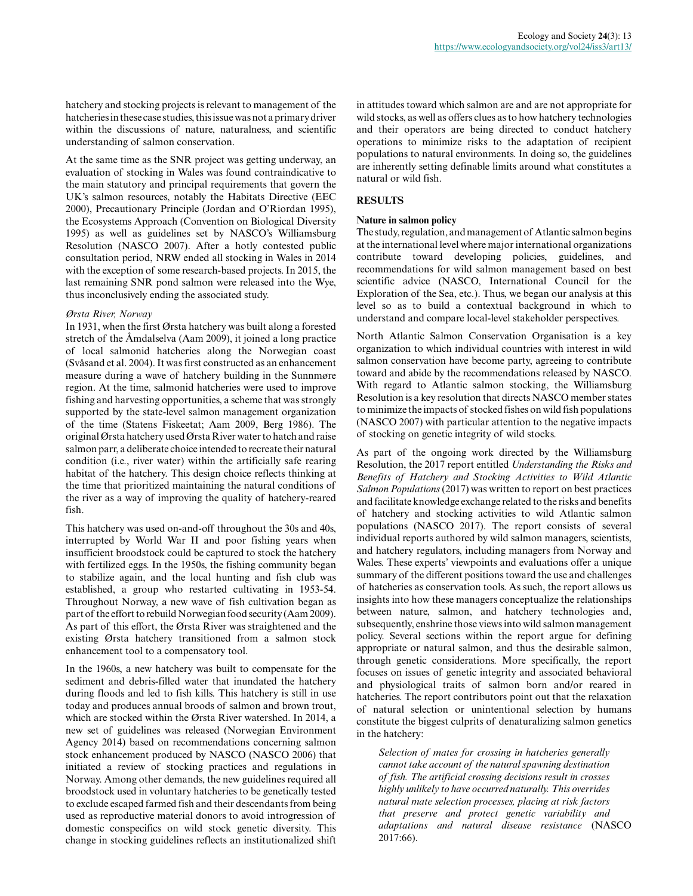hatchery and stocking projects is relevant to management of the hatcheries in these case studies, this issue was not a primary driver within the discussions of nature, naturalness, and scientific understanding of salmon conservation.

At the same time as the SNR project was getting underway, an evaluation of stocking in Wales was found contraindicative to the main statutory and principal requirements that govern the UK's salmon resources, notably the Habitats Directive (EEC 2000), Precautionary Principle (Jordan and O'Riordan 1995), the Ecosystems Approach (Convention on Biological Diversity 1995) as well as guidelines set by NASCO's Williamsburg Resolution (NASCO 2007). After a hotly contested public consultation period, NRW ended all stocking in Wales in 2014 with the exception of some research-based projects. In 2015, the last remaining SNR pond salmon were released into the Wye, thus inconclusively ending the associated study.

## *Ørsta River, Norway*

In 1931, when the first Ørsta hatchery was built along a forested stretch of the Åmdalselva (Aam 2009), it joined a long practice of local salmonid hatcheries along the Norwegian coast (Svåsand et al. 2004). It was first constructed as an enhancement measure during a wave of hatchery building in the Sunnmøre region. At the time, salmonid hatcheries were used to improve fishing and harvesting opportunities, a scheme that was strongly supported by the state-level salmon management organization of the time (Statens Fiskeetat; Aam 2009, Berg 1986). The original Ørsta hatchery used Ørsta River water to hatch and raise salmon parr, a deliberate choice intended to recreate their natural condition (i.e., river water) within the artificially safe rearing habitat of the hatchery. This design choice reflects thinking at the time that prioritized maintaining the natural conditions of the river as a way of improving the quality of hatchery-reared fish.

This hatchery was used on-and-off throughout the 30s and 40s, interrupted by World War II and poor fishing years when insufficient broodstock could be captured to stock the hatchery with fertilized eggs. In the 1950s, the fishing community began to stabilize again, and the local hunting and fish club was established, a group who restarted cultivating in 1953-54. Throughout Norway, a new wave of fish cultivation began as part of the effort to rebuild Norwegian food security (Aam 2009). As part of this effort, the Ørsta River was straightened and the existing Ørsta hatchery transitioned from a salmon stock enhancement tool to a compensatory tool.

In the 1960s, a new hatchery was built to compensate for the sediment and debris-filled water that inundated the hatchery during floods and led to fish kills. This hatchery is still in use today and produces annual broods of salmon and brown trout, which are stocked within the Ørsta River watershed. In 2014, a new set of guidelines was released (Norwegian Environment Agency 2014) based on recommendations concerning salmon stock enhancement produced by NASCO (NASCO 2006) that initiated a review of stocking practices and regulations in Norway. Among other demands, the new guidelines required all broodstock used in voluntary hatcheries to be genetically tested to exclude escaped farmed fish and their descendants from being used as reproductive material donors to avoid introgression of domestic conspecifics on wild stock genetic diversity. This change in stocking guidelines reflects an institutionalized shift

in attitudes toward which salmon are and are not appropriate for wild stocks, as well as offers clues as to how hatchery technologies and their operators are being directed to conduct hatchery operations to minimize risks to the adaptation of recipient populations to natural environments. In doing so, the guidelines are inherently setting definable limits around what constitutes a natural or wild fish.

# **RESULTS**

## **Nature in salmon policy**

The study, regulation, and management of Atlantic salmon begins at the international level where major international organizations contribute toward developing policies, guidelines, and recommendations for wild salmon management based on best scientific advice (NASCO, International Council for the Exploration of the Sea, etc.). Thus, we began our analysis at this level so as to build a contextual background in which to understand and compare local-level stakeholder perspectives.

North Atlantic Salmon Conservation Organisation is a key organization to which individual countries with interest in wild salmon conservation have become party, agreeing to contribute toward and abide by the recommendations released by NASCO. With regard to Atlantic salmon stocking, the Williamsburg Resolution is a key resolution that directs NASCO member states to minimize the impacts of stocked fishes on wild fish populations (NASCO 2007) with particular attention to the negative impacts of stocking on genetic integrity of wild stocks.

As part of the ongoing work directed by the Williamsburg Resolution, the 2017 report entitled *Understanding the Risks and Benefits of Hatchery and Stocking Activities to Wild Atlantic Salmon Populations* (2017) was written to report on best practices and facilitate knowledge exchange related to the risks and benefits of hatchery and stocking activities to wild Atlantic salmon populations (NASCO 2017). The report consists of several individual reports authored by wild salmon managers, scientists, and hatchery regulators, including managers from Norway and Wales. These experts' viewpoints and evaluations offer a unique summary of the different positions toward the use and challenges of hatcheries as conservation tools. As such, the report allows us insights into how these managers conceptualize the relationships between nature, salmon, and hatchery technologies and, subsequently, enshrine those views into wild salmon management policy. Several sections within the report argue for defining appropriate or natural salmon, and thus the desirable salmon, through genetic considerations. More specifically, the report focuses on issues of genetic integrity and associated behavioral and physiological traits of salmon born and/or reared in hatcheries. The report contributors point out that the relaxation of natural selection or unintentional selection by humans constitute the biggest culprits of denaturalizing salmon genetics in the hatchery:

*Selection of mates for crossing in hatcheries generally cannot take account of the natural spawning destination of fish. The artificial crossing decisions result in crosses highly unlikely to have occurred naturally. This overrides natural mate selection processes, placing at risk factors that preserve and protect genetic variability and adaptations and natural disease resistance* (NASCO 2017:66).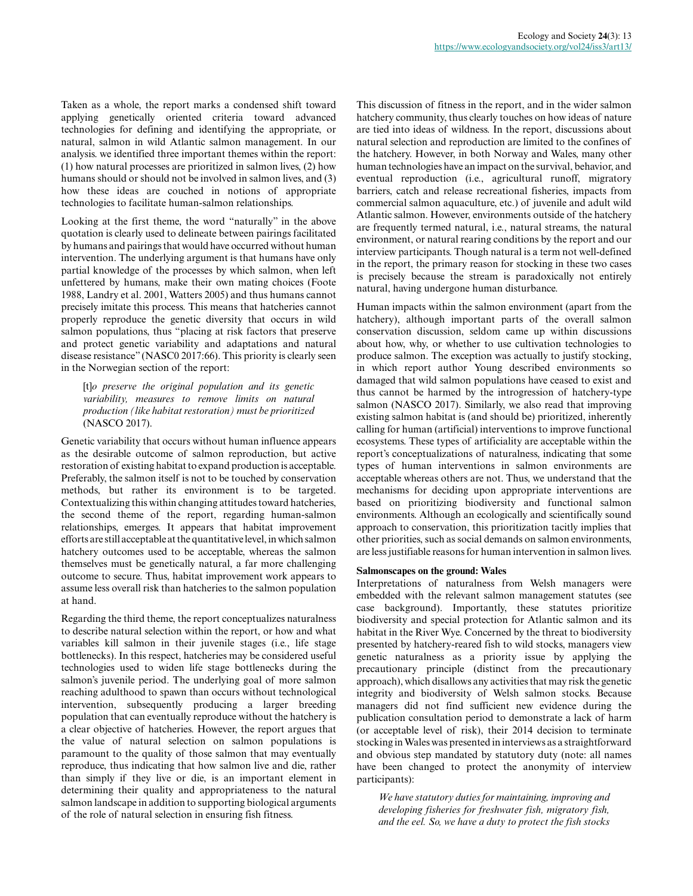Taken as a whole, the report marks a condensed shift toward applying genetically oriented criteria toward advanced technologies for defining and identifying the appropriate, or natural, salmon in wild Atlantic salmon management. In our analysis. we identified three important themes within the report: (1) how natural processes are prioritized in salmon lives, (2) how humans should or should not be involved in salmon lives, and (3) how these ideas are couched in notions of appropriate technologies to facilitate human-salmon relationships.

Looking at the first theme, the word "naturally" in the above quotation is clearly used to delineate between pairings facilitated by humans and pairings that would have occurred without human intervention. The underlying argument is that humans have only partial knowledge of the processes by which salmon, when left unfettered by humans, make their own mating choices (Foote 1988, Landry et al. 2001, Watters 2005) and thus humans cannot precisely imitate this process. This means that hatcheries cannot properly reproduce the genetic diversity that occurs in wild salmon populations, thus "placing at risk factors that preserve and protect genetic variability and adaptations and natural disease resistance" (NASC0 2017:66). This priority is clearly seen in the Norwegian section of the report:

[t]*o preserve the original population and its genetic variability, measures to remove limits on natural production (like habitat restoration) must be prioritized* (NASCO 2017).

Genetic variability that occurs without human influence appears as the desirable outcome of salmon reproduction, but active restoration of existing habitat to expand production is acceptable. Preferably, the salmon itself is not to be touched by conservation methods, but rather its environment is to be targeted. Contextualizing this within changing attitudes toward hatcheries, the second theme of the report, regarding human-salmon relationships, emerges. It appears that habitat improvement efforts are still acceptable at the quantitative level, in which salmon hatchery outcomes used to be acceptable, whereas the salmon themselves must be genetically natural, a far more challenging outcome to secure. Thus, habitat improvement work appears to assume less overall risk than hatcheries to the salmon population at hand.

Regarding the third theme, the report conceptualizes naturalness to describe natural selection within the report, or how and what variables kill salmon in their juvenile stages (i.e., life stage bottlenecks). In this respect, hatcheries may be considered useful technologies used to widen life stage bottlenecks during the salmon's juvenile period. The underlying goal of more salmon reaching adulthood to spawn than occurs without technological intervention, subsequently producing a larger breeding population that can eventually reproduce without the hatchery is a clear objective of hatcheries. However, the report argues that the value of natural selection on salmon populations is paramount to the quality of those salmon that may eventually reproduce, thus indicating that how salmon live and die, rather than simply if they live or die, is an important element in determining their quality and appropriateness to the natural salmon landscape in addition to supporting biological arguments of the role of natural selection in ensuring fish fitness.

This discussion of fitness in the report, and in the wider salmon hatchery community, thus clearly touches on how ideas of nature are tied into ideas of wildness. In the report, discussions about natural selection and reproduction are limited to the confines of the hatchery. However, in both Norway and Wales, many other human technologies have an impact on the survival, behavior, and eventual reproduction (i.e., agricultural runoff, migratory barriers, catch and release recreational fisheries, impacts from commercial salmon aquaculture, etc.) of juvenile and adult wild Atlantic salmon. However, environments outside of the hatchery are frequently termed natural, i.e., natural streams, the natural environment, or natural rearing conditions by the report and our interview participants. Though natural is a term not well-defined in the report, the primary reason for stocking in these two cases is precisely because the stream is paradoxically not entirely natural, having undergone human disturbance.

Human impacts within the salmon environment (apart from the hatchery), although important parts of the overall salmon conservation discussion, seldom came up within discussions about how, why, or whether to use cultivation technologies to produce salmon. The exception was actually to justify stocking, in which report author Young described environments so damaged that wild salmon populations have ceased to exist and thus cannot be harmed by the introgression of hatchery-type salmon (NASCO 2017). Similarly, we also read that improving existing salmon habitat is (and should be) prioritized, inherently calling for human (artificial) interventions to improve functional ecosystems. These types of artificiality are acceptable within the report's conceptualizations of naturalness, indicating that some types of human interventions in salmon environments are acceptable whereas others are not. Thus, we understand that the mechanisms for deciding upon appropriate interventions are based on prioritizing biodiversity and functional salmon environments. Although an ecologically and scientifically sound approach to conservation, this prioritization tacitly implies that other priorities, such as social demands on salmon environments, are less justifiable reasons for human intervention in salmon lives.

#### **Salmonscapes on the ground: Wales**

Interpretations of naturalness from Welsh managers were embedded with the relevant salmon management statutes (see case background). Importantly, these statutes prioritize biodiversity and special protection for Atlantic salmon and its habitat in the River Wye. Concerned by the threat to biodiversity presented by hatchery-reared fish to wild stocks, managers view genetic naturalness as a priority issue by applying the precautionary principle (distinct from the precautionary approach), which disallows any activities that may risk the genetic integrity and biodiversity of Welsh salmon stocks. Because managers did not find sufficient new evidence during the publication consultation period to demonstrate a lack of harm (or acceptable level of risk), their 2014 decision to terminate stocking in Wales was presented in interviews as a straightforward and obvious step mandated by statutory duty (note: all names have been changed to protect the anonymity of interview participants):

*We have statutory duties for maintaining, improving and developing fisheries for freshwater fish, migratory fish, and the eel. So, we have a duty to protect the fish stocks*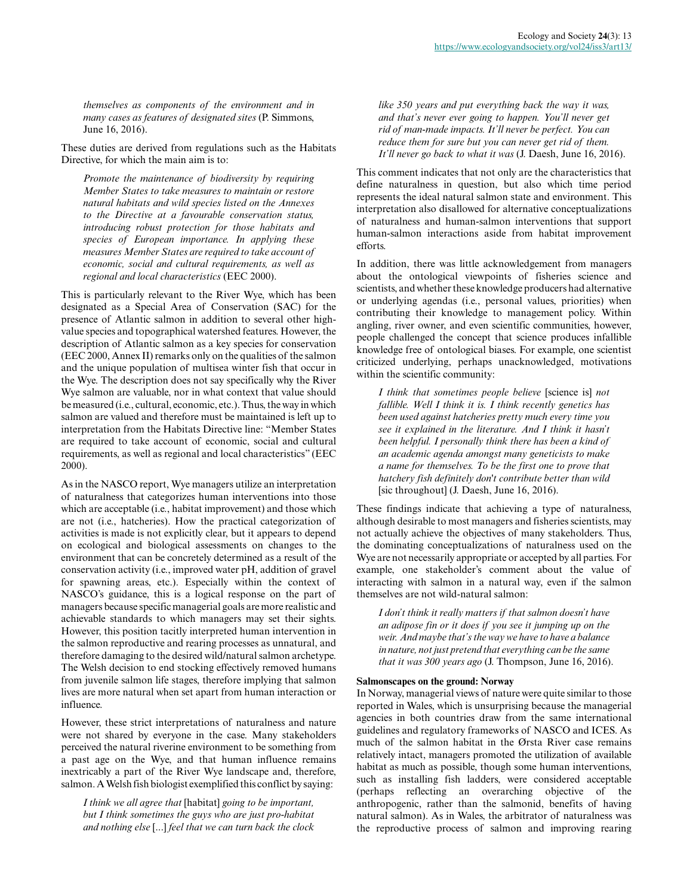*themselves as components of the environment and in many cases as features of designated sites* (P. Simmons, June 16, 2016).

These duties are derived from regulations such as the Habitats Directive, for which the main aim is to:

*Promote the maintenance of biodiversity by requiring Member States to take measures to maintain or restore natural habitats and wild species listed on the Annexes to the Directive at a favourable conservation status, introducing robust protection for those habitats and species of European importance. In applying these measures Member States are required to take account of economic, social and cultural requirements, as well as regional and local characteristics* (EEC 2000).

This is particularly relevant to the River Wye, which has been designated as a Special Area of Conservation (SAC) for the presence of Atlantic salmon in addition to several other highvalue species and topographical watershed features. However, the description of Atlantic salmon as a key species for conservation (EEC 2000, Annex II) remarks only on the qualities of the salmon and the unique population of multisea winter fish that occur in the Wye. The description does not say specifically why the River Wye salmon are valuable, nor in what context that value should be measured (i.e., cultural, economic, etc.). Thus, the way in which salmon are valued and therefore must be maintained is left up to interpretation from the Habitats Directive line: "Member States are required to take account of economic, social and cultural requirements, as well as regional and local characteristics" (EEC 2000).

As in the NASCO report, Wye managers utilize an interpretation of naturalness that categorizes human interventions into those which are acceptable (i.e., habitat improvement) and those which are not (i.e., hatcheries). How the practical categorization of activities is made is not explicitly clear, but it appears to depend on ecological and biological assessments on changes to the environment that can be concretely determined as a result of the conservation activity (i.e., improved water pH, addition of gravel for spawning areas, etc.). Especially within the context of NASCO's guidance, this is a logical response on the part of managers because specific managerial goals are more realistic and achievable standards to which managers may set their sights. However, this position tacitly interpreted human intervention in the salmon reproductive and rearing processes as unnatural, and therefore damaging to the desired wild/natural salmon archetype. The Welsh decision to end stocking effectively removed humans from juvenile salmon life stages, therefore implying that salmon lives are more natural when set apart from human interaction or influence.

However, these strict interpretations of naturalness and nature were not shared by everyone in the case. Many stakeholders perceived the natural riverine environment to be something from a past age on the Wye, and that human influence remains inextricably a part of the River Wye landscape and, therefore, salmon. A Welsh fish biologist exemplified this conflict by saying:

*I think we all agree that* [habitat] *going to be important, but I think sometimes the guys who are just pro-habitat and nothing else* [...] *feel that we can turn back the clock* *like 350 years and put everything back the way it was, and that's never ever going to happen. You'll never get rid of man-made impacts. It'll never be perfect. You can reduce them for sure but you can never get rid of them. It'll never go back to what it was* (J. Daesh, June 16, 2016).

This comment indicates that not only are the characteristics that define naturalness in question, but also which time period represents the ideal natural salmon state and environment. This interpretation also disallowed for alternative conceptualizations of naturalness and human-salmon interventions that support human-salmon interactions aside from habitat improvement efforts.

In addition, there was little acknowledgement from managers about the ontological viewpoints of fisheries science and scientists, and whether these knowledge producers had alternative or underlying agendas (i.e., personal values, priorities) when contributing their knowledge to management policy. Within angling, river owner, and even scientific communities, however, people challenged the concept that science produces infallible knowledge free of ontological biases. For example, one scientist criticized underlying, perhaps unacknowledged, motivations within the scientific community:

*I think that sometimes people believe* [science is] *not fallible. Well I think it is. I think recently genetics has been used against hatcheries pretty much every time you see it explained in the literature. And I think it hasn't been helpful. I personally think there has been a kind of an academic agenda amongst many geneticists to make a name for themselves. To be the first one to prove that hatchery fish definitely don't contribute better than wild* [sic throughout] (J. Daesh, June 16, 2016).

These findings indicate that achieving a type of naturalness, although desirable to most managers and fisheries scientists, may not actually achieve the objectives of many stakeholders. Thus, the dominating conceptualizations of naturalness used on the Wye are not necessarily appropriate or accepted by all parties. For example, one stakeholder's comment about the value of interacting with salmon in a natural way, even if the salmon themselves are not wild-natural salmon:

*I don't think it really matters if that salmon doesn't have an adipose fin or it does if you see it jumping up on the weir. And maybe that's the way we have to have a balance in nature, not just pretend that everything can be the same that it was 300 years ago* (J. Thompson, June 16, 2016).

## **Salmonscapes on the ground: Norway**

In Norway, managerial views of nature were quite similar to those reported in Wales, which is unsurprising because the managerial agencies in both countries draw from the same international guidelines and regulatory frameworks of NASCO and ICES. As much of the salmon habitat in the Ørsta River case remains relatively intact, managers promoted the utilization of available habitat as much as possible, though some human interventions, such as installing fish ladders, were considered acceptable (perhaps reflecting an overarching objective of the anthropogenic, rather than the salmonid, benefits of having natural salmon). As in Wales, the arbitrator of naturalness was the reproductive process of salmon and improving rearing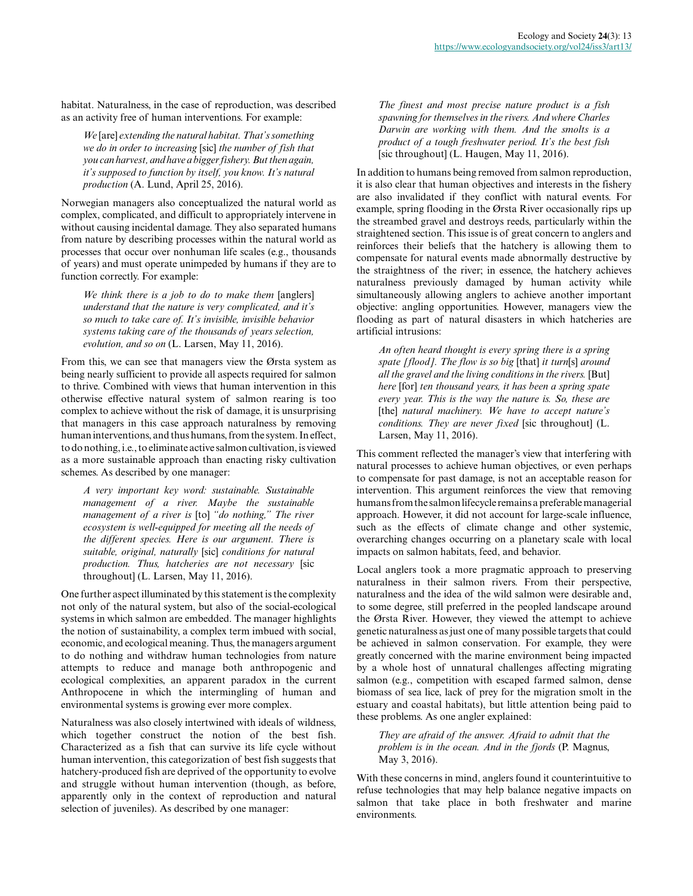habitat. Naturalness, in the case of reproduction, was described as an activity free of human interventions. For example:

*We* [are] *extending the natural habitat. That's something we do in order to increasing* [sic] *the number of fish that you can harvest, and have a bigger fishery. But then again, it's supposed to function by itself, you know. It's natural production* (A. Lund, April 25, 2016).

Norwegian managers also conceptualized the natural world as complex, complicated, and difficult to appropriately intervene in without causing incidental damage. They also separated humans from nature by describing processes within the natural world as processes that occur over nonhuman life scales (e.g., thousands of years) and must operate unimpeded by humans if they are to function correctly. For example:

*We think there is a job to do to make them* [anglers] *understand that the nature is very complicated, and it's so much to take care of. It's invisible, invisible behavior systems taking care of the thousands of years selection, evolution, and so on* (L. Larsen, May 11, 2016).

From this, we can see that managers view the Ørsta system as being nearly sufficient to provide all aspects required for salmon to thrive. Combined with views that human intervention in this otherwise effective natural system of salmon rearing is too complex to achieve without the risk of damage, it is unsurprising that managers in this case approach naturalness by removing human interventions, and thus humans, from the system. In effect, to do nothing, i.e., to eliminate active salmon cultivation, is viewed as a more sustainable approach than enacting risky cultivation schemes. As described by one manager:

*A very important key word: sustainable. Sustainable management of a river. Maybe the sustainable management of a river is* [to] *"do nothing," The river ecosystem is well-equipped for meeting all the needs of the different species. Here is our argument. There is suitable, original, naturally* [sic] *conditions for natural production. Thus, hatcheries are not necessary* [sic throughout] (L. Larsen, May 11, 2016).

One further aspect illuminated by this statement is the complexity not only of the natural system, but also of the social-ecological systems in which salmon are embedded. The manager highlights the notion of sustainability, a complex term imbued with social, economic, and ecological meaning. Thus, the managers argument to do nothing and withdraw human technologies from nature attempts to reduce and manage both anthropogenic and ecological complexities, an apparent paradox in the current Anthropocene in which the intermingling of human and environmental systems is growing ever more complex.

Naturalness was also closely intertwined with ideals of wildness, which together construct the notion of the best fish. Characterized as a fish that can survive its life cycle without human intervention, this categorization of best fish suggests that hatchery-produced fish are deprived of the opportunity to evolve and struggle without human intervention (though, as before, apparently only in the context of reproduction and natural selection of juveniles). As described by one manager:

*The finest and most precise nature product is a fish spawning for themselves in the rivers. And where Charles Darwin are working with them. And the smolts is a product of a tough freshwater period. It's the best fish* [sic throughout] (L. Haugen, May 11, 2016).

In addition to humans being removed from salmon reproduction, it is also clear that human objectives and interests in the fishery are also invalidated if they conflict with natural events. For example, spring flooding in the Ørsta River occasionally rips up the streambed gravel and destroys reeds, particularly within the straightened section. This issue is of great concern to anglers and reinforces their beliefs that the hatchery is allowing them to compensate for natural events made abnormally destructive by the straightness of the river; in essence, the hatchery achieves naturalness previously damaged by human activity while simultaneously allowing anglers to achieve another important objective: angling opportunities. However, managers view the flooding as part of natural disasters in which hatcheries are artificial intrusions:

*An often heard thought is every spring there is a spring spate [flood]. The flow is so big* [that] *it turn*[s] *around all the gravel and the living conditions in the rivers.* [But] *here* [for] *ten thousand years, it has been a spring spate every year. This is the way the nature is. So, these are* [the] *natural machinery. We have to accept nature's conditions. They are never fixed* [sic throughout] (L. Larsen, May 11, 2016).

This comment reflected the manager's view that interfering with natural processes to achieve human objectives, or even perhaps to compensate for past damage, is not an acceptable reason for intervention. This argument reinforces the view that removing humans from the salmon lifecycle remains a preferable managerial approach. However, it did not account for large-scale influence, such as the effects of climate change and other systemic, overarching changes occurring on a planetary scale with local impacts on salmon habitats, feed, and behavior.

Local anglers took a more pragmatic approach to preserving naturalness in their salmon rivers. From their perspective, naturalness and the idea of the wild salmon were desirable and, to some degree, still preferred in the peopled landscape around the Ørsta River. However, they viewed the attempt to achieve genetic naturalness as just one of many possible targets that could be achieved in salmon conservation. For example, they were greatly concerned with the marine environment being impacted by a whole host of unnatural challenges affecting migrating salmon (e.g., competition with escaped farmed salmon, dense biomass of sea lice, lack of prey for the migration smolt in the estuary and coastal habitats), but little attention being paid to these problems. As one angler explained:

*They are afraid of the answer. Afraid to admit that the problem is in the ocean. And in the fjords* (P. Magnus, May 3, 2016).

With these concerns in mind, anglers found it counterintuitive to refuse technologies that may help balance negative impacts on salmon that take place in both freshwater and marine environments.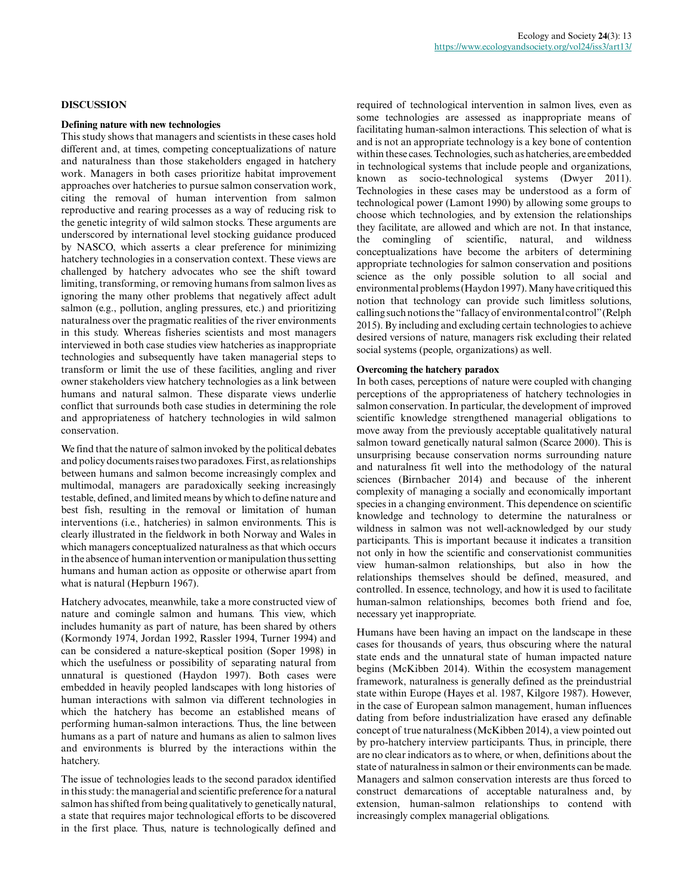## **DISCUSSION**

#### **Defining nature with new technologies**

This study shows that managers and scientists in these cases hold different and, at times, competing conceptualizations of nature and naturalness than those stakeholders engaged in hatchery work. Managers in both cases prioritize habitat improvement approaches over hatcheries to pursue salmon conservation work, citing the removal of human intervention from salmon reproductive and rearing processes as a way of reducing risk to the genetic integrity of wild salmon stocks. These arguments are underscored by international level stocking guidance produced by NASCO, which asserts a clear preference for minimizing hatchery technologies in a conservation context. These views are challenged by hatchery advocates who see the shift toward limiting, transforming, or removing humans from salmon lives as ignoring the many other problems that negatively affect adult salmon (e.g., pollution, angling pressures, etc.) and prioritizing naturalness over the pragmatic realities of the river environments in this study. Whereas fisheries scientists and most managers interviewed in both case studies view hatcheries as inappropriate technologies and subsequently have taken managerial steps to transform or limit the use of these facilities, angling and river owner stakeholders view hatchery technologies as a link between humans and natural salmon. These disparate views underlie conflict that surrounds both case studies in determining the role and appropriateness of hatchery technologies in wild salmon conservation.

We find that the nature of salmon invoked by the political debates and policy documents raises two paradoxes. First, as relationships between humans and salmon become increasingly complex and multimodal, managers are paradoxically seeking increasingly testable, defined, and limited means by which to define nature and best fish, resulting in the removal or limitation of human interventions (i.e., hatcheries) in salmon environments. This is clearly illustrated in the fieldwork in both Norway and Wales in which managers conceptualized naturalness as that which occurs in the absence of human intervention or manipulation thus setting humans and human action as opposite or otherwise apart from what is natural (Hepburn 1967).

Hatchery advocates, meanwhile, take a more constructed view of nature and comingle salmon and humans. This view, which includes humanity as part of nature, has been shared by others (Kormondy 1974, Jordan 1992, Rassler 1994, Turner 1994) and can be considered a nature-skeptical position (Soper 1998) in which the usefulness or possibility of separating natural from unnatural is questioned (Haydon 1997). Both cases were embedded in heavily peopled landscapes with long histories of human interactions with salmon via different technologies in which the hatchery has become an established means of performing human-salmon interactions. Thus, the line between humans as a part of nature and humans as alien to salmon lives and environments is blurred by the interactions within the hatchery.

The issue of technologies leads to the second paradox identified in this study: the managerial and scientific preference for a natural salmon has shifted from being qualitatively to genetically natural, a state that requires major technological efforts to be discovered in the first place. Thus, nature is technologically defined and required of technological intervention in salmon lives, even as some technologies are assessed as inappropriate means of facilitating human-salmon interactions. This selection of what is and is not an appropriate technology is a key bone of contention within these cases. Technologies, such as hatcheries, are embedded in technological systems that include people and organizations, known as socio-technological systems (Dwyer 2011). Technologies in these cases may be understood as a form of technological power (Lamont 1990) by allowing some groups to choose which technologies, and by extension the relationships they facilitate, are allowed and which are not. In that instance, the comingling of scientific, natural, and wildness conceptualizations have become the arbiters of determining appropriate technologies for salmon conservation and positions science as the only possible solution to all social and environmental problems (Haydon 1997). Many have critiqued this notion that technology can provide such limitless solutions, calling such notions the "fallacy of environmental control" (Relph 2015). By including and excluding certain technologies to achieve desired versions of nature, managers risk excluding their related social systems (people, organizations) as well.

## **Overcoming the hatchery paradox**

In both cases, perceptions of nature were coupled with changing perceptions of the appropriateness of hatchery technologies in salmon conservation. In particular, the development of improved scientific knowledge strengthened managerial obligations to move away from the previously acceptable qualitatively natural salmon toward genetically natural salmon (Scarce 2000). This is unsurprising because conservation norms surrounding nature and naturalness fit well into the methodology of the natural sciences (Birnbacher 2014) and because of the inherent complexity of managing a socially and economically important species in a changing environment. This dependence on scientific knowledge and technology to determine the naturalness or wildness in salmon was not well-acknowledged by our study participants. This is important because it indicates a transition not only in how the scientific and conservationist communities view human-salmon relationships, but also in how the relationships themselves should be defined, measured, and controlled. In essence, technology, and how it is used to facilitate human-salmon relationships, becomes both friend and foe, necessary yet inappropriate.

Humans have been having an impact on the landscape in these cases for thousands of years, thus obscuring where the natural state ends and the unnatural state of human impacted nature begins (McKibben 2014). Within the ecosystem management framework, naturalness is generally defined as the preindustrial state within Europe (Hayes et al. 1987, Kilgore 1987). However, in the case of European salmon management, human influences dating from before industrialization have erased any definable concept of true naturalness (McKibben 2014), a view pointed out by pro-hatchery interview participants. Thus, in principle, there are no clear indicators as to where, or when, definitions about the state of naturalness in salmon or their environments can be made. Managers and salmon conservation interests are thus forced to construct demarcations of acceptable naturalness and, by extension, human-salmon relationships to contend with increasingly complex managerial obligations.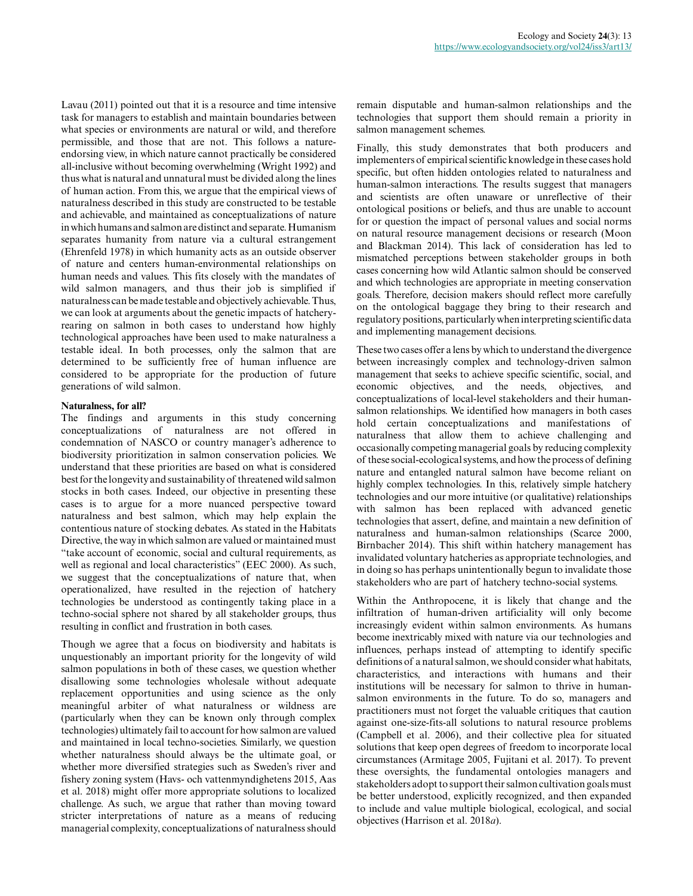Lavau (2011) pointed out that it is a resource and time intensive task for managers to establish and maintain boundaries between what species or environments are natural or wild, and therefore permissible, and those that are not. This follows a natureendorsing view, in which nature cannot practically be considered all-inclusive without becoming overwhelming (Wright 1992) and thus what is natural and unnatural must be divided along the lines of human action. From this, we argue that the empirical views of naturalness described in this study are constructed to be testable and achievable, and maintained as conceptualizations of nature in which humans and salmon are distinct and separate. Humanism separates humanity from nature via a cultural estrangement (Ehrenfeld 1978) in which humanity acts as an outside observer of nature and centers human-environmental relationships on human needs and values. This fits closely with the mandates of wild salmon managers, and thus their job is simplified if naturalness can be made testable and objectively achievable. Thus, we can look at arguments about the genetic impacts of hatcheryrearing on salmon in both cases to understand how highly technological approaches have been used to make naturalness a testable ideal. In both processes, only the salmon that are determined to be sufficiently free of human influence are considered to be appropriate for the production of future generations of wild salmon.

## **Naturalness, for all?**

The findings and arguments in this study concerning conceptualizations of naturalness are not offered in condemnation of NASCO or country manager's adherence to biodiversity prioritization in salmon conservation policies. We understand that these priorities are based on what is considered best for the longevity and sustainability of threatened wild salmon stocks in both cases. Indeed, our objective in presenting these cases is to argue for a more nuanced perspective toward naturalness and best salmon, which may help explain the contentious nature of stocking debates. As stated in the Habitats Directive, the way in which salmon are valued or maintained must "take account of economic, social and cultural requirements, as well as regional and local characteristics" (EEC 2000). As such, we suggest that the conceptualizations of nature that, when operationalized, have resulted in the rejection of hatchery technologies be understood as contingently taking place in a techno-social sphere not shared by all stakeholder groups, thus resulting in conflict and frustration in both cases.

Though we agree that a focus on biodiversity and habitats is unquestionably an important priority for the longevity of wild salmon populations in both of these cases, we question whether disallowing some technologies wholesale without adequate replacement opportunities and using science as the only meaningful arbiter of what naturalness or wildness are (particularly when they can be known only through complex technologies) ultimately fail to account for how salmon are valued and maintained in local techno-societies. Similarly, we question whether naturalness should always be the ultimate goal, or whether more diversified strategies such as Sweden's river and fishery zoning system (Havs- och vattenmyndighetens 2015, Aas et al. 2018) might offer more appropriate solutions to localized challenge. As such, we argue that rather than moving toward stricter interpretations of nature as a means of reducing managerial complexity, conceptualizations of naturalness should

remain disputable and human-salmon relationships and the technologies that support them should remain a priority in salmon management schemes.

Finally, this study demonstrates that both producers and implementers of empirical scientific knowledge in these cases hold specific, but often hidden ontologies related to naturalness and human-salmon interactions. The results suggest that managers and scientists are often unaware or unreflective of their ontological positions or beliefs, and thus are unable to account for or question the impact of personal values and social norms on natural resource management decisions or research (Moon and Blackman 2014). This lack of consideration has led to mismatched perceptions between stakeholder groups in both cases concerning how wild Atlantic salmon should be conserved and which technologies are appropriate in meeting conservation goals. Therefore, decision makers should reflect more carefully on the ontological baggage they bring to their research and regulatory positions, particularly when interpreting scientific data and implementing management decisions.

These two cases offer a lens by which to understand the divergence between increasingly complex and technology-driven salmon management that seeks to achieve specific scientific, social, and economic objectives, and the needs, objectives, and conceptualizations of local-level stakeholders and their humansalmon relationships. We identified how managers in both cases hold certain conceptualizations and manifestations of naturalness that allow them to achieve challenging and occasionally competing managerial goals by reducing complexity of these social-ecological systems, and how the process of defining nature and entangled natural salmon have become reliant on highly complex technologies. In this, relatively simple hatchery technologies and our more intuitive (or qualitative) relationships with salmon has been replaced with advanced genetic technologies that assert, define, and maintain a new definition of naturalness and human-salmon relationships (Scarce 2000, Birnbacher 2014). This shift within hatchery management has invalidated voluntary hatcheries as appropriate technologies, and in doing so has perhaps unintentionally begun to invalidate those stakeholders who are part of hatchery techno-social systems.

Within the Anthropocene, it is likely that change and the infiltration of human-driven artificiality will only become increasingly evident within salmon environments. As humans become inextricably mixed with nature via our technologies and influences, perhaps instead of attempting to identify specific definitions of a natural salmon, we should consider what habitats, characteristics, and interactions with humans and their institutions will be necessary for salmon to thrive in humansalmon environments in the future. To do so, managers and practitioners must not forget the valuable critiques that caution against one-size-fits-all solutions to natural resource problems (Campbell et al. 2006), and their collective plea for situated solutions that keep open degrees of freedom to incorporate local circumstances (Armitage 2005, Fujitani et al. 2017). To prevent these oversights, the fundamental ontologies managers and stakeholders adopt to support their salmon cultivation goals must be better understood, explicitly recognized, and then expanded to include and value multiple biological, ecological, and social objectives (Harrison et al. 2018*a*).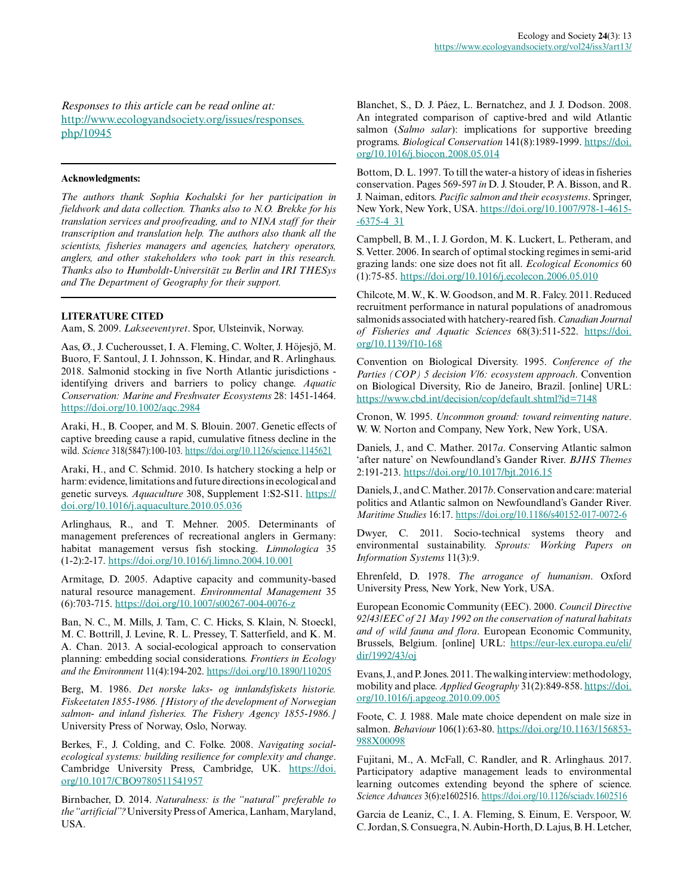*Responses to this article can be read online at:* [http://www.ecologyandsociety.org/issues/responses.](http://www.ecologyandsociety.org/issues/responses.php/10945) [php/10945](http://www.ecologyandsociety.org/issues/responses.php/10945)

#### **Acknowledgments:**

*The authors thank Sophia Kochalski for her participation in fieldwork and data collection. Thanks also to N.O. Brekke for his translation services and proofreading, and to NINA staff for their transcription and translation help. The authors also thank all the scientists, fisheries managers and agencies, hatchery operators, anglers, and other stakeholders who took part in this research. Thanks also to Humboldt-Universität zu Berlin and IRI THESys and The Department of Geography for their support.*

# **LITERATURE CITED**

Aam, S. 2009. *Lakseeventyret*. Spor, Ulsteinvik, Norway.

Aas, Ø., J. Cucherousset, I. A. Fleming, C. Wolter, J. Höjesjö, M. Buoro, F. Santoul, J. I. Johnsson, K. Hindar, and R. Arlinghaus. 2018. Salmonid stocking in five North Atlantic jurisdictions identifying drivers and barriers to policy change. *Aquatic Conservation: Marine and Freshwater Ecosystems* 28: 1451-1464. <https://doi.org/10.1002/aqc.2984>

Araki, H., B. Cooper, and M. S. Blouin. 2007. Genetic effects of captive breeding cause a rapid, cumulative fitness decline in the wild. *Science* 318(5847):100-103. <https://doi.org/10.1126/science.1145621>

Araki, H., and C. Schmid. 2010. Is hatchery stocking a help or harm: evidence, limitations and future directions in ecological and genetic surveys. *Aquaculture* 308, Supplement 1:S2-S11. [https://](https://doi.org/10.1016/j.aquaculture.2010.05.036) [doi.org/10.1016/j.aquaculture.2010.05.036](https://doi.org/10.1016/j.aquaculture.2010.05.036) 

Arlinghaus, R., and T. Mehner. 2005. Determinants of management preferences of recreational anglers in Germany: habitat management versus fish stocking. *Limnologica* 35 (1-2):2-17. <https://doi.org/10.1016/j.limno.2004.10.001>

Armitage, D. 2005. Adaptive capacity and community-based natural resource management. *Environmental Management* 35 (6):703-715. <https://doi.org/10.1007/s00267-004-0076-z>

Ban, N. C., M. Mills, J. Tam, C. C. Hicks, S. Klain, N. Stoeckl, M. C. Bottrill, J. Levine, R. L. Pressey, T. Satterfield, and K. M. A. Chan. 2013. A social-ecological approach to conservation planning: embedding social considerations. *Frontiers in Ecology and the Environment* 11(4):194-202. <https://doi.org/10.1890/110205>

Berg, M. 1986. *Det norske laks- og innlandsfiskets historie. Fiskeetaten 1855-1986. [History of the development of Norwegian salmon- and inland fisheries. The Fishery Agency 1855-1986.]* University Press of Norway, Oslo, Norway.

Berkes, F., J. Colding, and C. Folke. 2008. *Navigating socialecological systems: building resilience for complexity and change*. Cambridge University Press, Cambridge, UK. [https://doi.](https://doi.org/10.1017/CBO9780511541957) [org/10.1017/CBO9780511541957](https://doi.org/10.1017/CBO9780511541957)

Birnbacher, D. 2014. *Naturalness: is the "natural" preferable to the "artificial"?* University Press of America, Lanham, Maryland, USA.

Blanchet, S., D. J. Páez, L. Bernatchez, and J. J. Dodson. 2008. An integrated comparison of captive-bred and wild Atlantic salmon (*Salmo salar*): implications for supportive breeding programs. *Biological Conservation* 141(8):1989-1999. [https://doi.](https://doi.org/10.1016/j.biocon.2008.05.014) [org/10.1016/j.biocon.2008.05.014](https://doi.org/10.1016/j.biocon.2008.05.014)

Bottom, D. L. 1997. To till the water-a history of ideas in fisheries conservation. Pages 569-597 *in* D. J. Stouder, P. A. Bisson, and R. J. Naiman, editors. *Pacific salmon and their ecosystems*. Springer, New York, New York, USA. [https://doi.org/10.1007/978-1-4615](https://doi.org/10.1007/978-1-4615-6375-4_31) [-6375-4\\_31](https://doi.org/10.1007/978-1-4615-6375-4_31) 

Campbell, B. M., I. J. Gordon, M. K. Luckert, L. Petheram, and S. Vetter. 2006. In search of optimal stocking regimes in semi-arid grazing lands: one size does not fit all. *Ecological Economics* 60 (1):75-85. <https://doi.org/10.1016/j.ecolecon.2006.05.010>

Chilcote, M. W., K. W. Goodson, and M. R. Falcy. 2011. Reduced recruitment performance in natural populations of anadromous salmonids associated with hatchery-reared fish. *Canadian Journal of Fisheries and Aquatic Sciences* 68(3):511-522. [https://doi.](https://doi.org/10.1139/f10-168) [org/10.1139/f10-168](https://doi.org/10.1139/f10-168) 

Convention on Biological Diversity. 1995. *Conference of the Parties (COP) 5 decision V/6: ecosystem approach*. Convention on Biological Diversity, Rio de Janeiro, Brazil. [online] URL: <https://www.cbd.int/decision/cop/default.shtml?id=7148>

Cronon, W. 1995. *Uncommon ground: toward reinventing nature*. W. W. Norton and Company, New York, New York, USA.

Daniels, J., and C. Mather. 2017*a*. Conserving Atlantic salmon 'after nature' on Newfoundland's Gander River. *BJHS Themes* 2:191-213. <https://doi.org/10.1017/bjt.2016.15>

Daniels, J., and C. Mather. 2017*b*. Conservation and care: material politics and Atlantic salmon on Newfoundland's Gander River. *Maritime Studies* 16:17. <https://doi.org/10.1186/s40152-017-0072-6>

Dwyer, C. 2011. Socio-technical systems theory and environmental sustainability. *Sprouts: Working Papers on Information Systems* 11(3):9.

Ehrenfeld, D. 1978. *The arrogance of humanism*. Oxford University Press, New York, New York, USA.

European Economic Community (EEC). 2000. *Council Directive 92/43/EEC of 21 May 1992 on the conservation of natural habitats and of wild fauna and flora*. European Economic Community, Brussels, Belgium. [online] URL: [https://eur-lex.europa.eu/eli/](https://eur-lex.europa.eu/eli/dir/1992/43/oj) [dir/1992/43/oj](https://eur-lex.europa.eu/eli/dir/1992/43/oj) 

Evans, J., and P. Jones. 2011. The walking interview: methodology, mobility and place. *Applied Geography* 31(2):849-858. [https://doi.](https://doi.org/10.1016/j.apgeog.2010.09.005) [org/10.1016/j.apgeog.2010.09.005](https://doi.org/10.1016/j.apgeog.2010.09.005) 

Foote, C. J. 1988. Male mate choice dependent on male size in salmon. *Behaviour* 106(1):63-80. [https://doi.org/10.1163/156853](https://doi.org/10.1163/156853988X00098) [988X00098](https://doi.org/10.1163/156853988X00098) 

Fujitani, M., A. McFall, C. Randler, and R. Arlinghaus. 2017. Participatory adaptive management leads to environmental learning outcomes extending beyond the sphere of science. *Science Advances* 3(6):e1602516. <https://doi.org/10.1126/sciadv.1602516>

Garcia de Leaniz, C., I. A. Fleming, S. Einum, E. Verspoor, W. C. Jordan, S. Consuegra, N. Aubin-Horth, D. Lajus, B. H. Letcher,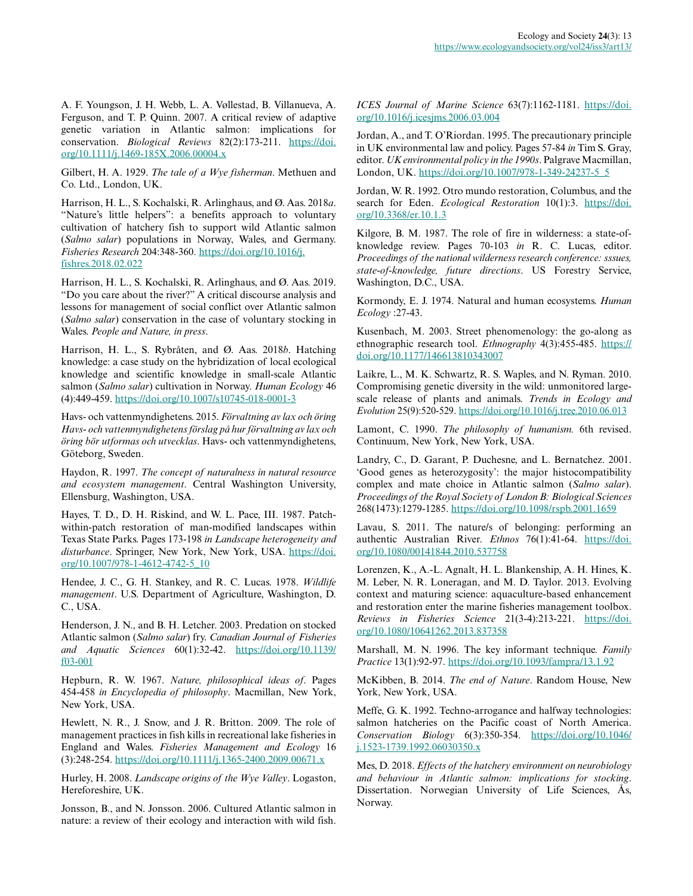A. F. Youngson, J. H. Webb, L. A. Vøllestad, B. Villanueva, A. Ferguson, and T. P. Quinn. 2007. A critical review of adaptive genetic variation in Atlantic salmon: implications for conservation. *Biological Reviews* 82(2):173-211. [https://doi.](https://doi.org/10.1111/j.1469-185X.2006.00004.x) [org/10.1111/j.1469-185X.2006.00004.x](https://doi.org/10.1111/j.1469-185X.2006.00004.x) 

Gilbert, H. A. 1929. *The tale of a Wye fisherman*. Methuen and Co. Ltd., London, UK.

Harrison, H. L., S. Kochalski, R. Arlinghaus, and Ø. Aas. 2018*a*. "Nature's little helpers": a benefits approach to voluntary cultivation of hatchery fish to support wild Atlantic salmon (*Salmo salar*) populations in Norway, Wales, and Germany. *Fisheries Research* 204:348-360. [https://doi.org/10.1016/j.](https://doi.org/10.1016/j.fishres.2018.02.022) [fishres.2018.02.022](https://doi.org/10.1016/j.fishres.2018.02.022) 

Harrison, H. L., S. Kochalski, R. Arlinghaus, and Ø. Aas. 2019. "Do you care about the river?" A critical discourse analysis and lessons for management of social conflict over Atlantic salmon (*Salmo salar*) conservation in the case of voluntary stocking in Wales. *People and Nature, in press*.

Harrison, H. L., S. Rybråten, and Ø. Aas. 2018*b*. Hatching knowledge: a case study on the hybridization of local ecological knowledge and scientific knowledge in small-scale Atlantic salmon (*Salmo salar*) cultivation in Norway. *Human Ecology* 46 (4):449-459. <https://doi.org/10.1007/s10745-018-0001-3>

Havs- och vattenmyndighetens. 2015. *Förvaltning av lax och öring Havs- och vattenmyndighetens förslag på hur förvaltning av lax och öring bör utformas och utvecklas*. Havs- och vattenmyndighetens, Göteborg, Sweden.

Haydon, R. 1997. *The concept of naturalness in natural resource and ecosystem management*. Central Washington University, Ellensburg, Washington, USA.

Hayes, T. D., D. H. Riskind, and W. L. Pace, III. 1987. Patchwithin-patch restoration of man-modified landscapes within Texas State Parks. Pages 173-198 *in Landscape heterogeneity and disturbance*. Springer, New York, New York, USA. [https://doi.](https://doi.org/10.1007/978-1-4612-4742-5_10) [org/10.1007/978-1-4612-4742-5\\_10](https://doi.org/10.1007/978-1-4612-4742-5_10)

Hendee, J. C., G. H. Stankey, and R. C. Lucas. 1978. *Wildlife management*. U.S. Department of Agriculture, Washington, D. C., USA.

Henderson, J. N., and B. H. Letcher. 2003. Predation on stocked Atlantic salmon (*Salmo salar*) fry. *Canadian Journal of Fisheries and Aquatic Sciences* 60(1):32-42. [https://doi.org/10.1139/](https://doi.org/10.1139/f03-001) [f03-001](https://doi.org/10.1139/f03-001)

Hepburn, R. W. 1967. *Nature, philosophical ideas of*. Pages 454-458 *in Encyclopedia of philosophy*. Macmillan, New York, New York, USA.

Hewlett, N. R., J. Snow, and J. R. Britton. 2009. The role of management practices in fish kills in recreational lake fisheries in England and Wales. *Fisheries Management and Ecology* 16 (3):248-254. <https://doi.org/10.1111/j.1365-2400.2009.00671.x>

Hurley, H. 2008. *Landscape origins of the Wye Valley*. Logaston, Hereforeshire, UK.

Jonsson, B., and N. Jonsson. 2006. Cultured Atlantic salmon in nature: a review of their ecology and interaction with wild fish.

*ICES Journal of Marine Science* 63(7):1162-1181. [https://doi.](https://doi.org/10.1016/j.icesjms.2006.03.004) [org/10.1016/j.icesjms.2006.03.004](https://doi.org/10.1016/j.icesjms.2006.03.004)

Jordan, A., and T. O'Riordan. 1995. The precautionary principle in UK environmental law and policy. Pages 57-84 *in* Tim S. Gray, editor. *UK environmental policy in the 1990s*. Palgrave Macmillan, London, UK. [https://doi.org/10.1007/978-1-349-24237-5\\_5](https://doi.org/10.1007/978-1-349-24237-5_5)

Jordan, W. R. 1992. Otro mundo restoration, Columbus, and the search for Eden. *Ecological Restoration* 10(1):3. [https://doi.](https://doi.org/10.3368/er.10.1.3) [org/10.3368/er.10.1.3](https://doi.org/10.3368/er.10.1.3)

Kilgore, B. M. 1987. The role of fire in wilderness: a state-ofknowledge review. Pages 70-103 *in* R. C. Lucas, editor. *Proceedings of the national wilderness research conference: sssues, state-of-knowledge, future directions*. US Forestry Service, Washington, D.C., USA.

Kormondy, E. J. 1974. Natural and human ecosystems. *Human Ecology* :27-43.

Kusenbach, M. 2003. Street phenomenology: the go-along as ethnographic research tool. *Ethnography* 4(3):455-485. [https://](https://doi.org/10.1177/146613810343007) [doi.org/10.1177/146613810343007](https://doi.org/10.1177/146613810343007) 

Laikre, L., M. K. Schwartz, R. S. Waples, and N. Ryman. 2010. Compromising genetic diversity in the wild: unmonitored largescale release of plants and animals. *Trends in Ecology and Evolution* 25(9):520-529.<https://doi.org/10.1016/j.tree.2010.06.013>

Lamont, C. 1990. *The philosophy of humanism.* 6th revised. Continuum, New York, New York, USA.

Landry, C., D. Garant, P. Duchesne, and L. Bernatchez. 2001. 'Good genes as heterozygosity': the major histocompatibility complex and mate choice in Atlantic salmon (*Salmo salar*). *Proceedings of the Royal Society of London B: Biological Sciences* 268(1473):1279-1285. <https://doi.org/10.1098/rspb.2001.1659>

Lavau, S. 2011. The nature/s of belonging: performing an authentic Australian River. *Ethnos* 76(1):41-64. [https://doi.](https://doi.org/10.1080/00141844.2010.537758) [org/10.1080/00141844.2010.537758](https://doi.org/10.1080/00141844.2010.537758)

Lorenzen, K., A.-L. Agnalt, H. L. Blankenship, A. H. Hines, K. M. Leber, N. R. Loneragan, and M. D. Taylor. 2013. Evolving context and maturing science: aquaculture-based enhancement and restoration enter the marine fisheries management toolbox. *Reviews in Fisheries Science* 21(3-4):213-221. [https://doi.](https://doi.org/10.1080/10641262.2013.837358) [org/10.1080/10641262.2013.837358](https://doi.org/10.1080/10641262.2013.837358)

Marshall, M. N. 1996. The key informant technique. *Family Practice* 13(1):92-97. <https://doi.org/10.1093/fampra/13.1.92>

McKibben, B. 2014. *The end of Nature*. Random House, New York, New York, USA.

Meffe, G. K. 1992. Techno-arrogance and halfway technologies: salmon hatcheries on the Pacific coast of North America. *Conservation Biology* 6(3):350-354. [https://doi.org/10.1046/](https://doi.org/10.1046/j.1523-1739.1992.06030350.x) [j.1523-1739.1992.06030350.x](https://doi.org/10.1046/j.1523-1739.1992.06030350.x) 

Mes, D. 2018. *Effects of the hatchery environment on neurobiology and behaviour in Atlantic salmon: implications for stocking*. Dissertation. Norwegian University of Life Sciences, Ås, Norway.